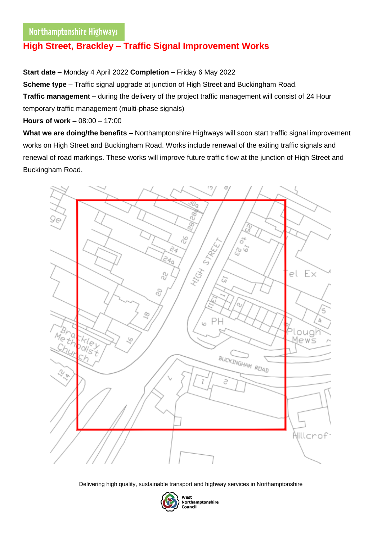## $\overline{\phantom{a}}$ **High Street, Brackley – Traffic Signal Improvement Works**

**Start date –** Monday 4 April 2022 **Completion –** Friday 6 May 2022

**Scheme type –** Traffic signal upgrade at junction of High Street and Buckingham Road.

**Traffic management –** during the delivery of the project traffic management will consist of 24 Hour temporary traffic management (multi-phase signals)

**Hours of work –** 08:00 – 17:00

**What we are doing/the benefits –** Northamptonshire Highways will soon start traffic signal improvement works on High Street and Buckingham Road. Works include renewal of the exiting traffic signals and renewal of road markings. These works will improve future traffic flow at the junction of High Street and Buckingham Road.



Delivering high quality, sustainable transport and highway services in Northamptonshire